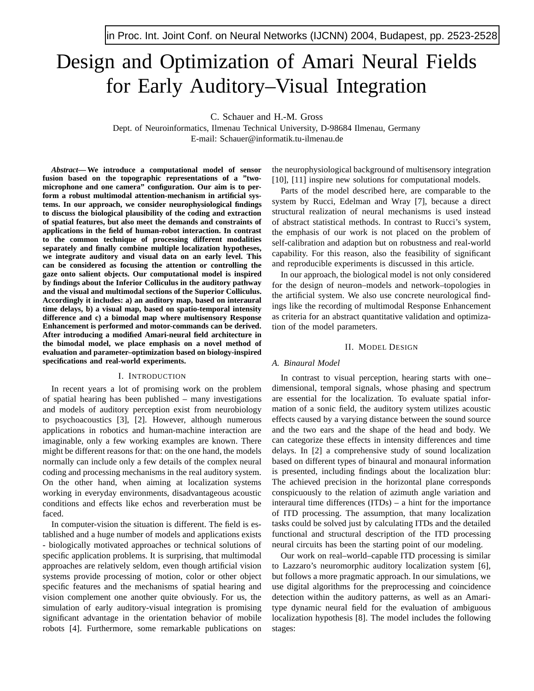# Design and Optimization of Amari Neural Fields for Early Auditory–Visual Integration

C. Schauer and H.-M. Gross

Dept. of Neuroinformatics, Ilmenau Technical University, D-98684 Ilmenau, Germany E-mail: Schauer@informatik.tu-ilmenau.de

*Abstract***— We introduce a computational model of sensor fusion based on the topographic representations of a "twomicrophone and one camera" configuration. Our aim is to perform a robust multimodal attention-mechanism in artificial systems. In our approach, we consider neurophysiological findings to discuss the biological plausibility of the coding and extraction of spatial features, but also meet the demands and constraints of applications in the field of human-robot interaction. In contrast to the common technique of processing different modalities separately and finally combine multiple localization hypotheses, we integrate auditory and visual data on an early level. This can be considered as focusing the attention or controlling the gaze onto salient objects. Our computational model is inspired by findings about the Inferior Colliculus in the auditory pathway and the visual and multimodal sections of the Superior Colliculus. Accordingly it includes: a) an auditory map, based on interaural time delays, b) a visual map, based on spatio-temporal intensity difference and c) a bimodal map where multisensory Response Enhancement is performed and motor-commands can be derived. After introducing a modified Amari-neural field architecture in the bimodal model, we place emphasis on a novel method of evaluation and parameter–optimization based on biology-inspired specifications and real-world experiments.**

#### I. INTRODUCTION

In recent years a lot of promising work on the problem of spatial hearing has been published – many investigations and models of auditory perception exist from neurobiology to psychoacoustics [3], [2]. However, although numerous applications in robotics and human-machine interaction are imaginable, only a few working examples are known. There might be different reasons for that: on the one hand, the models normally can include only a few details of the complex neural coding and processing mechanisms in the real auditory system. On the other hand, when aiming at localization systems working in everyday environments, disadvantageous acoustic conditions and effects like echos and reverberation must be faced.

In computer-vision the situation is different. The field is established and a huge number of models and applications exists - biologically motivated approaches or technical solutions of specific application problems. It is surprising, that multimodal approaches are relatively seldom, even though artificial vision systems provide processing of motion, color or other object specific features and the mechanisms of spatial hearing and vision complement one another quite obviously. For us, the simulation of early auditory-visual integration is promising significant advantage in the orientation behavior of mobile robots [4]. Furthermore, some remarkable publications on the neurophysiological background of multisensory integration [10], [11] inspire new solutions for computational models.

Parts of the model described here, are comparable to the system by Rucci, Edelman and Wray [7], because a direct structural realization of neural mechanisms is used instead of abstract statistical methods. In contrast to Rucci's system, the emphasis of our work is not placed on the problem of self-calibration and adaption but on robustness and real-world capability. For this reason, also the feasibility of significant and reproducible experiments is discussed in this article.

In our approach, the biological model is not only considered for the design of neuron–models and network–topologies in the artificial system. We also use concrete neurological findings like the recording of multimodal Response Enhancement as criteria for an abstract quantitative validation and optimization of the model parameters.

#### II. MODEL DESIGN

#### *A. Binaural Model*

In contrast to visual perception, hearing starts with one– dimensional, temporal signals, whose phasing and spectrum are essential for the localization. To evaluate spatial information of a sonic field, the auditory system utilizes acoustic effects caused by a varying distance between the sound source and the two ears and the shape of the head and body. We can categorize these effects in intensity differences and time delays. In [2] a comprehensive study of sound localization based on different types of binaural and monaural information is presented, including findings about the localization blur: The achieved precision in the horizontal plane corresponds conspicuously to the relation of azimuth angle variation and interaural time differences (ITDs) – a hint for the importance of ITD processing. The assumption, that many localization tasks could be solved just by calculating ITDs and the detailed functional and structural description of the ITD processing neural circuits has been the starting point of our modeling.

Our work on real–world–capable ITD processing is similar to Lazzaro's neuromorphic auditory localization system [6], but follows a more pragmatic approach. In our simulations, we use digital algorithms for the preprocessing and coincidence detection within the auditory patterns, as well as an Amaritype dynamic neural field for the evaluation of ambiguous localization hypothesis [8]. The model includes the following stages: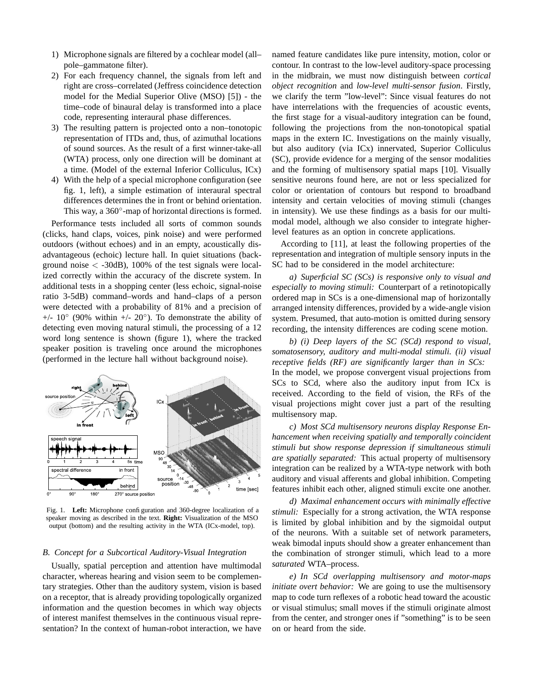- 1) Microphone signals are filtered by a cochlear model (all– pole–gammatone filter).
- 2) For each frequency channel, the signals from left and right are cross–correlated (Jeffress coincidence detection model for the Medial Superior Olive (MSO) [5]) - the time–code of binaural delay is transformed into a place code, representing interaural phase differences.
- 3) The resulting pattern is projected onto a non–tonotopic representation of ITDs and, thus, of azimuthal locations of sound sources. As the result of a first winner-take-all (WTA) process, only one direction will be dominant at a time. (Model of the external Inferior Colliculus, ICx)
- 4) With the help of a special microphone configuration (see fig. 1, left), a simple estimation of interaural spectral differences determines the in front or behind orientation. This way, a 360°-map of horizontal directions is formed.

Performance tests included all sorts of common sounds (clicks, hand claps, voices, pink noise) and were performed outdoors (without echoes) and in an empty, acoustically disadvantageous (echoic) lecture hall. In quiet situations (background noise  $\langle$  -30dB), 100% of the test signals were localized correctly within the accuracy of the discrete system. In additional tests in a shopping center (less echoic, signal-noise ratio 3-5dB) command–words and hand–claps of a person were detected with a probability of 81% and a precision of  $+/- 10^{\circ}$  (90% within  $+/- 20^{\circ}$ ). To demonstrate the ability of detecting even moving natural stimuli, the processing of a 12 word long sentence is shown (figure 1), where the tracked speaker position is traveling once around the microphones (performed in the lecture hall without background noise).



Fig. 1. **Left:** Microphone configuration and 360-degree localization of a speaker moving as described in the text. **Right:** Visualization of the MSO output (bottom) and the resulting activity in the WTA (ICx-model, top).

### *B. Concept for a Subcortical Auditory-Visual Integration*

Usually, spatial perception and attention have multimodal character, whereas hearing and vision seem to be complementary strategies. Other than the auditory system, vision is based on a receptor, that is already providing topologically organized information and the question becomes in which way objects of interest manifest themselves in the continuous visual representation? In the context of human-robot interaction, we have named feature candidates like pure intensity, motion, color or contour. In contrast to the low-level auditory-space processing in the midbrain, we must now distinguish between *cortical object recognition* and *low-level multi-sensor fusion*. Firstly, we clarify the term "low-level": Since visual features do not have interrelations with the frequencies of acoustic events, the first stage for a visual-auditory integration can be found, following the projections from the non-tonotopical spatial maps in the extern IC. Investigations on the mainly visually, but also auditory (via ICx) innervated, Superior Colliculus (SC), provide evidence for a merging of the sensor modalities and the forming of multisensory spatial maps [10]. Visually sensitive neurons found here, are not or less specialized for color or orientation of contours but respond to broadband intensity and certain velocities of moving stimuli (changes in intensity). We use these findings as a basis for our multimodal model, although we also consider to integrate higherlevel features as an option in concrete applications.

According to [11], at least the following properties of the representation and integration of multiple sensory inputs in the SC had to be considered in the model architecture:

*a) Superficial SC (SCs) is responsive only to visual and especially to moving stimuli:* Counterpart of a retinotopically ordered map in SCs is a one-dimensional map of horizontally arranged intensity differences, provided by a wide-angle vision system. Presumed, that auto-motion is omitted during sensory recording, the intensity differences are coding scene motion.

*b) (i) Deep layers of the SC (SCd) respond to visual, somatosensory, auditory and multi-modal stimuli. (ii) visual receptive fields (RF) are significantly larger than in SCs:* In the model, we propose convergent visual projections from SCs to SCd, where also the auditory input from ICx is received. According to the field of vision, the RFs of the visual projections might cover just a part of the resulting multisensory map.

*c) Most SCd multisensory neurons display Response Enhancement when receiving spatially and temporally coincident stimuli but show response depression if simultaneous stimuli are spatially separated:* This actual property of multisensory integration can be realized by a WTA-type network with both auditory and visual afferents and global inhibition. Competing features inhibit each other, aligned stimuli excite one another.

*d) Maximal enhancement occurs with minimally effective stimuli:* Especially for a strong activation, the WTA response is limited by global inhibition and by the sigmoidal output of the neurons. With a suitable set of network parameters, weak bimodal inputs should show a greater enhancement than the combination of stronger stimuli, which lead to a more *saturated* WTA–process.

*e) In SCd overlapping multisensory and motor-maps initiate overt behavior:* We are going to use the multisensory map to code turn reflexes of a robotic head toward the acoustic or visual stimulus; small moves if the stimuli originate almost from the center, and stronger ones if "something" is to be seen on or heard from the side.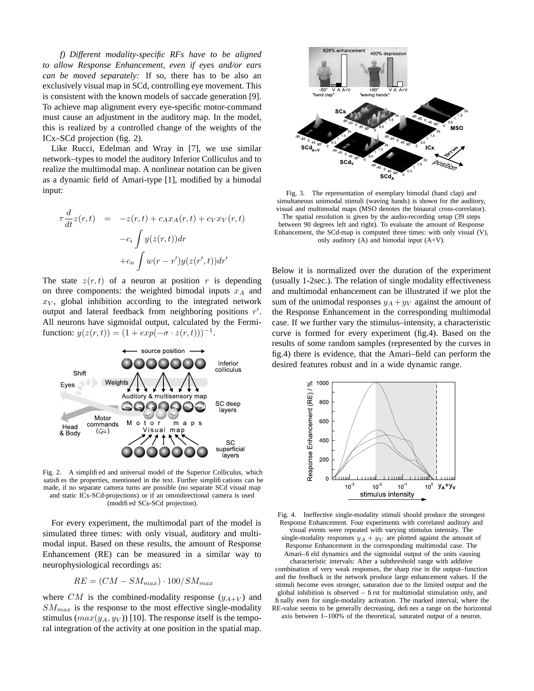*f) Different modality-specific RFs have to be aligned to allow Response Enhancement, even if eyes and/or ears can be moved separately:* If so, there has to be also an exclusively visual map in SCd, controlling eye movement. This is consistent with the known models of saccade generation [9]. To achieve map alignment every eye-specific motor-command must cause an adjustment in the auditory map. In the model, this is realized by a controlled change of the weights of the ICx–SCd projection (fig. 2).

Like Rucci, Edelman and Wray in [7], we use similar network–types to model the auditory Inferior Colliculus and to realize the multimodal map. A nonlinear notation can be given as a dynamic field of Amari-type [1], modified by a bimodal input:

$$
\tau \frac{d}{dt} z(r, t) = -z(r, t) + c_A x_A(r, t) + c_V x_V(r, t)
$$

$$
-c_i \int y(z(r, t)) dr
$$

$$
+c_n \int w(r - r')y(z(r', t)) dr'
$$

The state  $z(r, t)$  of a neuron at position r is depending on three components: the weighted bimodal inputs  $x_A$  and  $x_V$ , global inhibition according to the integrated network output and lateral feedback from neighboring positions  $r'$ . All neurons have sigmoidal output, calculated by the Fermifunction:  $y(z(r,t)) = (1 + exp(-\sigma \cdot z(r,t)))^{-1}$ .



Fig. 2. A simplified and universal model of the Superior Colliculus, which satisfies the properties, mentioned in the text. Further simplifications can be made, if no separate camera turns are possible (no separate SCd visual map and static ICx-SCd-projections) or if an omnidirectional camera is used (modified SCs-SCd projection).

For every experiment, the multimodal part of the model is simulated three times: with only visual, auditory and multimodal input. Based on these results, the amount of Response Enhancement (RE) can be measured in a similar way to neurophysiological recordings as:

$$
RE = (CM - SM_{max}) \cdot 100 / SM_{max}
$$

where CM is the combined-modality response  $(y_{A+V})$  and  $SM_{max}$  is the response to the most effective single-modality stimulus  $(max(y_A, y_V))$  [10]. The response itself is the temporal integration of the activity at one position in the spatial map.



Fig. 3. The representation of exemplary bimodal (hand clap) and simultaneous unimodal stimuli (waving hands) is shown for the auditory, visual and multimodal maps (MSO denotes the binaural cross-correlator). The spatial resolution is given by the audio-recording setup (39 steps between 90 degrees left and right). To evaluate the amount of Response Enhancement, the SCd-map is computed three times: with only visual (V), only auditory (A) and bimodal input (A+V).

Below it is normalized over the duration of the experiment (usually 1-2sec.). The relation of single modality effectiveness and multimodal enhancement can be illustrated if we plot the sum of the unimodal responses  $y_A + y_V$  against the amount of the Response Enhancement in the corresponding multimodal case. If we further vary the stimulus–intensity, a characteristic curve is formed for every experiment (fig.4). Based on the results of some random samples (represented by the curves in fig.4) there is evidence, that the Amari–field can perform the desired features robust and in a wide dynamic range.



Fig. 4. Ineffective single-modality stimuli should produce the strongest Response Enhancement. Four experiments with correlated auditory and visual events were repeated with varying stimulus intensity. The single-modality responses  $y_A + y_V$  are plotted against the amount of Response Enhancement in the corresponding multimodal case. The Amari–field dynamics and the sigmoidal output of the units causing characteristic intervals: After a subthreshold range with additive combination of very weak responses, the sharp rise in the output–function and the feedback in the network produce large enhancement values. If the stimuli become even stronger, saturation due to the limited output and the global inhibition is observed – first for multimodal stimulation only, and finally even for single-modality activation. The marked interval, where the RE-value seems to be generally decreasing, defines a range on the horizontal axis between 1–100% of the theoretical, saturated output of a neuron.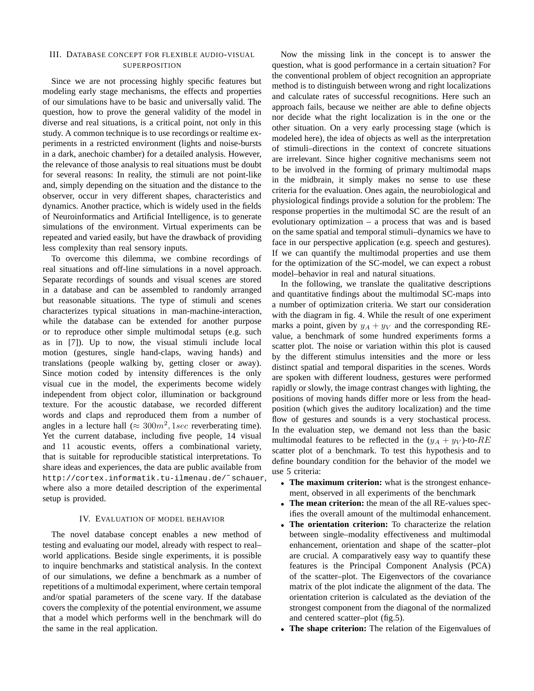## III. DATABASE CONCEPT FOR FLEXIBLE AUDIO-VISUAL **SUPERPOSITION**

Since we are not processing highly specific features but modeling early stage mechanisms, the effects and properties of our simulations have to be basic and universally valid. The question, how to prove the general validity of the model in diverse and real situations, is a critical point, not only in this study. A common technique is to use recordings or realtime experiments in a restricted environment (lights and noise-bursts in a dark, anechoic chamber) for a detailed analysis. However, the relevance of those analysis to real situations must be doubt for several reasons: In reality, the stimuli are not point-like and, simply depending on the situation and the distance to the observer, occur in very different shapes, characteristics and dynamics. Another practice, which is widely used in the fields of Neuroinformatics and Artificial Intelligence, is to generate simulations of the environment. Virtual experiments can be repeated and varied easily, but have the drawback of providing less complexity than real sensory inputs.

To overcome this dilemma, we combine recordings of real situations and off-line simulations in a novel approach. Separate recordings of sounds and visual scenes are stored in a database and can be assembled to randomly arranged but reasonable situations. The type of stimuli and scenes characterizes typical situations in man-machine-interaction, while the database can be extended for another purpose or to reproduce other simple multimodal setups (e.g. such as in [7]). Up to now, the visual stimuli include local motion (gestures, single hand-claps, waving hands) and translations (people walking by, getting closer or away). Since motion coded by intensity differences is the only visual cue in the model, the experiments become widely independent from object color, illumination or background texture. For the acoustic database, we recorded different words and claps and reproduced them from a number of angles in a lecture hall ( $\approx 300m^2$ , 1sec reverberating time). Yet the current database, including five people, 14 visual and 11 acoustic events, offers a combinational variety, that is suitable for reproducible statistical interpretations. To share ideas and experiences, the data are public available from http://cortex.informatik.tu-ilmenau.de/˜schauer, where also a more detailed description of the experimental setup is provided.

### IV. EVALUATION OF MODEL BEHAVIOR

The novel database concept enables a new method of testing and evaluating our model, already with respect to real– world applications. Beside single experiments, it is possible to inquire benchmarks and statistical analysis. In the context of our simulations, we define a benchmark as a number of repetitions of a multimodal experiment, where certain temporal and/or spatial parameters of the scene vary. If the database covers the complexity of the potential environment, we assume that a model which performs well in the benchmark will do the same in the real application.

Now the missing link in the concept is to answer the question, what is good performance in a certain situation? For the conventional problem of object recognition an appropriate method is to distinguish between wrong and right localizations and calculate rates of successful recognitions. Here such an approach fails, because we neither are able to define objects nor decide what the right localization is in the one or the other situation. On a very early processing stage (which is modeled here), the idea of objects as well as the interpretation of stimuli–directions in the context of concrete situations are irrelevant. Since higher cognitive mechanisms seem not to be involved in the forming of primary multimodal maps in the midbrain, it simply makes no sense to use these criteria for the evaluation. Ones again, the neurobiological and physiological findings provide a solution for the problem: The response properties in the multimodal SC are the result of an evolutionary optimization – a process that was and is based on the same spatial and temporal stimuli–dynamics we have to face in our perspective application (e.g. speech and gestures). If we can quantify the multimodal properties and use them for the optimization of the SC-model, we can expect a robust model–behavior in real and natural situations.

In the following, we translate the qualitative descriptions and quantitative findings about the multimodal SC-maps into a number of optimization criteria. We start our consideration with the diagram in fig. 4. While the result of one experiment marks a point, given by  $y_A + y_V$  and the corresponding REvalue, a benchmark of some hundred experiments forms a scatter plot. The noise or variation within this plot is caused by the different stimulus intensities and the more or less distinct spatial and temporal disparities in the scenes. Words are spoken with different loudness, gestures were performed rapidly or slowly, the image contrast changes with lighting, the positions of moving hands differ more or less from the headposition (which gives the auditory localization) and the time flow of gestures and sounds is a very stochastical process. In the evaluation step, we demand not less than the basic multimodal features to be reflected in the  $(y_A + y_V)$ -to- $RE$ scatter plot of a benchmark. To test this hypothesis and to define boundary condition for the behavior of the model we use 5 criteria:

- **The maximum criterion:** what is the strongest enhancement, observed in all experiments of the benchmark
- **The mean criterion:** the mean of the all RE-values specifies the overall amount of the multimodal enhancement.
- **The orientation criterion:** To characterize the relation between single–modality effectiveness and multimodal enhancement, orientation and shape of the scatter–plot are crucial. A comparatively easy way to quantify these features is the Principal Component Analysis (PCA) of the scatter–plot. The Eigenvectors of the covariance matrix of the plot indicate the alignment of the data. The orientation criterion is calculated as the deviation of the strongest component from the diagonal of the normalized and centered scatter–plot (fig.5).
- **The shape criterion:** The relation of the Eigenvalues of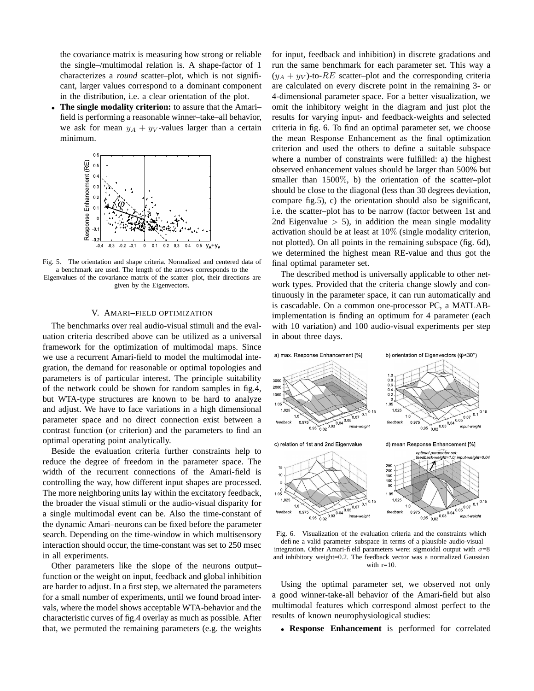the covariance matrix is measuring how strong or reliable the single–/multimodal relation is. A shape-factor of 1 characterizes a *round* scatter–plot, which is not significant, larger values correspond to a dominant component in the distribution, i.e. a clear orientation of the plot.

• **The single modality criterion:** to assure that the Amari– field is performing a reasonable winner–take–all behavior, we ask for mean  $y_A + y_V$ -values larger than a certain minimum.



Fig. 5. The orientation and shape criteria. Normalized and centered data of a benchmark are used. The length of the arrows corresponds to the Eigenvalues of the covariance matrix of the scatter–plot, their directions are given by the Eigenvectors.

#### V. AMARI–FIELD OPTIMIZATION

The benchmarks over real audio-visual stimuli and the evaluation criteria described above can be utilized as a universal framework for the optimization of multimodal maps. Since we use a recurrent Amari-field to model the multimodal integration, the demand for reasonable or optimal topologies and parameters is of particular interest. The principle suitability of the network could be shown for random samples in fig.4, but WTA-type structures are known to be hard to analyze and adjust. We have to face variations in a high dimensional parameter space and no direct connection exist between a contrast function (or criterion) and the parameters to find an optimal operating point analytically.

Beside the evaluation criteria further constraints help to reduce the degree of freedom in the parameter space. The width of the recurrent connections of the Amari-field is controlling the way, how different input shapes are processed. The more neighboring units lay within the excitatory feedback, the broader the visual stimuli or the audio-visual disparity for a single multimodal event can be. Also the time-constant of the dynamic Amari–neurons can be fixed before the parameter search. Depending on the time-window in which multisensory interaction should occur, the time-constant was set to 250 msec in all experiments.

Other parameters like the slope of the neurons output– function or the weight on input, feedback and global inhibition are harder to adjust. In a first step, we alternated the parameters for a small number of experiments, until we found broad intervals, where the model shows acceptable WTA-behavior and the characteristic curves of fig.4 overlay as much as possible. After that, we permuted the remaining parameters (e.g. the weights for input, feedback and inhibition) in discrete gradations and run the same benchmark for each parameter set. This way a  $(y_A + y_V)$ -to- $RE$  scatter–plot and the corresponding criteria are calculated on every discrete point in the remaining 3- or 4-dimensional parameter space. For a better visualization, we omit the inhibitory weight in the diagram and just plot the results for varying input- and feedback-weights and selected criteria in fig. 6. To find an optimal parameter set, we choose the mean Response Enhancement as the final optimization criterion and used the others to define a suitable subspace where a number of constraints were fulfilled: a) the highest observed enhancement values should be larger than 500% but smaller than 1500%, b) the orientation of the scatter–plot should be close to the diagonal (less than 30 degrees deviation, compare fig.5), c) the orientation should also be significant, i.e. the scatter–plot has to be narrow (factor between 1st and 2nd Eigenvalue  $> 5$ ), in addition the mean single modality activation should be at least at 10% (single modality criterion, not plotted). On all points in the remaining subspace (fig. 6d), we determined the highest mean RE-value and thus got the final optimal parameter set.

The described method is universally applicable to other network types. Provided that the criteria change slowly and continuously in the parameter space, it can run automatically and is cascadable. On a common one-processor PC, a MATLABimplementation is finding an optimum for 4 parameter (each with 10 variation) and 100 audio-visual experiments per step in about three days.



Fig. 6. Visualization of the evaluation criteria and the constraints which define a valid parameter–subspace in terms of a plausible audio-visual integration. Other Amari-field parameters were: sigmoidal output with  $\sigma = 8$ and inhibitory weight=0.2. The feedback vector was a normalized Gaussian with  $r=10$ .

Using the optimal parameter set, we observed not only a good winner-take-all behavior of the Amari-field but also multimodal features which correspond almost perfect to the results of known neurophysiological studies:

• **Response Enhancement** is performed for correlated